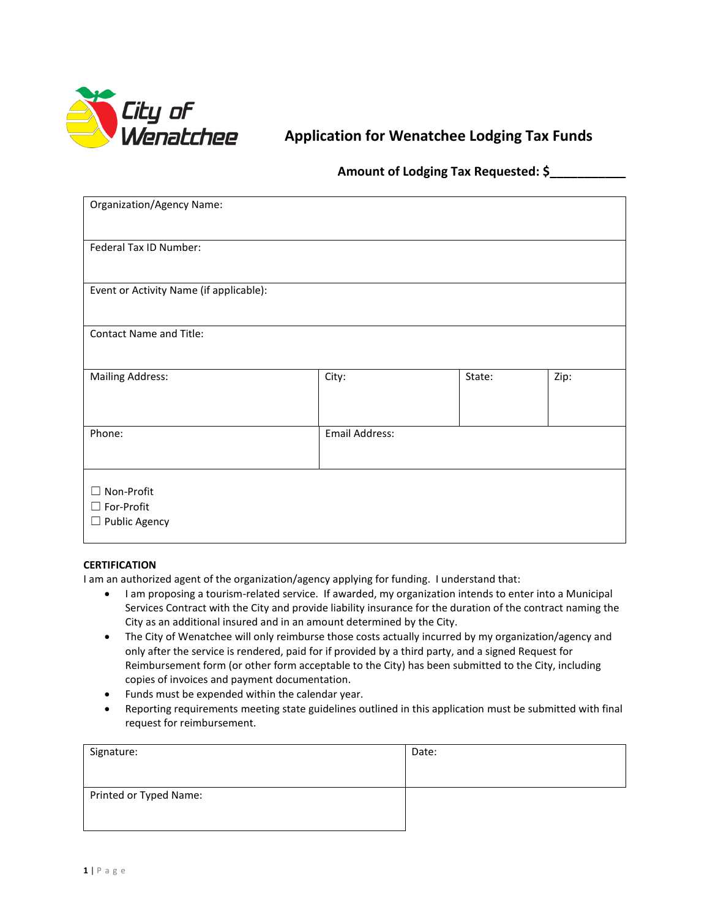

# **Application for Wenatchee Lodging Tax Funds**

# **Amount of Lodging Tax Requested: \$\_\_\_\_\_\_\_\_\_\_\_**

| <b>Organization/Agency Name:</b>                     |                |        |      |  |
|------------------------------------------------------|----------------|--------|------|--|
| Federal Tax ID Number:                               |                |        |      |  |
| Event or Activity Name (if applicable):              |                |        |      |  |
| <b>Contact Name and Title:</b>                       |                |        |      |  |
| <b>Mailing Address:</b>                              | City:          | State: | Zip: |  |
| Phone:                                               | Email Address: |        |      |  |
| $\Box$ Non-Profit<br>□ For-Profit<br>□ Public Agency |                |        |      |  |

## **CERTIFICATION**

I am an authorized agent of the organization/agency applying for funding. I understand that:

- I am proposing a tourism-related service. If awarded, my organization intends to enter into a Municipal Services Contract with the City and provide liability insurance for the duration of the contract naming the City as an additional insured and in an amount determined by the City.
- The City of Wenatchee will only reimburse those costs actually incurred by my organization/agency and only after the service is rendered, paid for if provided by a third party, and a signed Request for Reimbursement form (or other form acceptable to the City) has been submitted to the City, including copies of invoices and payment documentation.
- Funds must be expended within the calendar year.
- Reporting requirements meeting state guidelines outlined in this application must be submitted with final request for reimbursement.

| Signature:             | Date: |
|------------------------|-------|
| Printed or Typed Name: |       |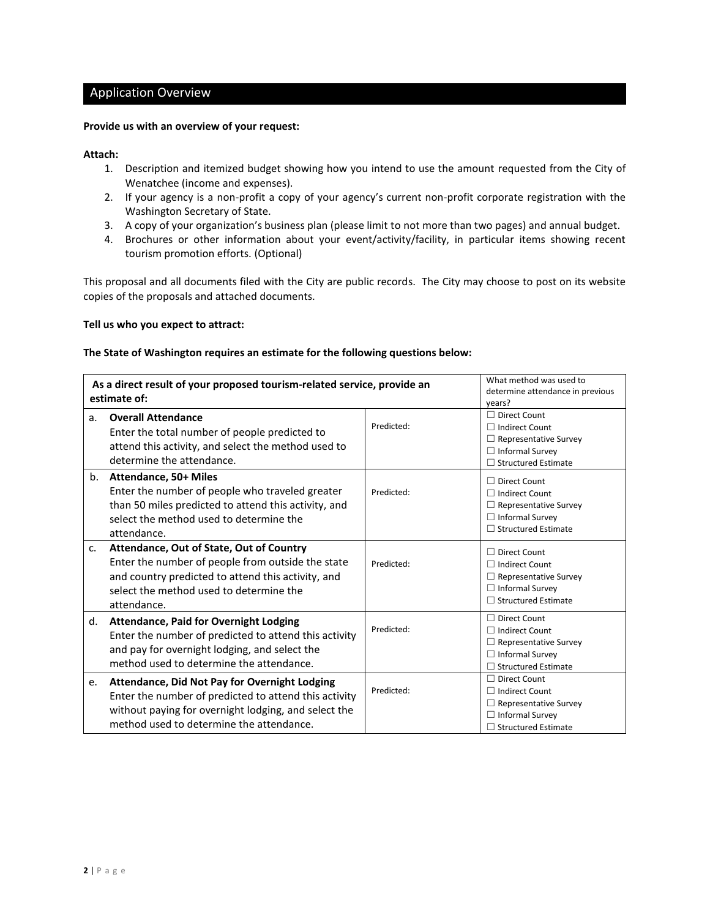# Application Overview

#### **Provide us with an overview of your request:**

#### **Attach:**

- 1. Description and itemized budget showing how you intend to use the amount requested from the City of Wenatchee (income and expenses).
- 2. If your agency is a non-profit a copy of your agency's current non-profit corporate registration with the Washington Secretary of State.
- 3. A copy of your organization's business plan (please limit to not more than two pages) and annual budget.
- 4. Brochures or other information about your event/activity/facility, in particular items showing recent tourism promotion efforts. (Optional)

This proposal and all documents filed with the City are public records. The City may choose to post on its website copies of the proposals and attached documents.

#### **Tell us who you expect to attract:**

#### **The State of Washington requires an estimate for the following questions below:**

| As a direct result of your proposed tourism-related service, provide an<br>estimate of: |                                                                                                                                                                                                               | What method was used to<br>determine attendance in previous<br>years? |                                                                                                                                      |
|-----------------------------------------------------------------------------------------|---------------------------------------------------------------------------------------------------------------------------------------------------------------------------------------------------------------|-----------------------------------------------------------------------|--------------------------------------------------------------------------------------------------------------------------------------|
| a.                                                                                      | <b>Overall Attendance</b><br>Enter the total number of people predicted to<br>attend this activity, and select the method used to<br>determine the attendance.                                                | Predicted:                                                            | $\Box$ Direct Count<br>$\Box$ Indirect Count<br>$\Box$ Representative Survey<br>$\Box$ Informal Survey<br>$\Box$ Structured Estimate |
| b.                                                                                      | Attendance, 50+ Miles<br>Enter the number of people who traveled greater<br>than 50 miles predicted to attend this activity, and<br>select the method used to determine the<br>attendance.                    | Predicted:                                                            | $\Box$ Direct Count<br>□ Indirect Count<br>$\Box$ Representative Survey<br>$\Box$ Informal Survey<br>$\Box$ Structured Estimate      |
| $C_{\star}$                                                                             | Attendance, Out of State, Out of Country<br>Enter the number of people from outside the state<br>and country predicted to attend this activity, and<br>select the method used to determine the<br>attendance. | Predicted:                                                            | $\Box$ Direct Count<br>$\Box$ Indirect Count<br>$\Box$ Representative Survey<br>$\Box$ Informal Survey<br>$\Box$ Structured Estimate |
| d.                                                                                      | <b>Attendance, Paid for Overnight Lodging</b><br>Enter the number of predicted to attend this activity<br>and pay for overnight lodging, and select the<br>method used to determine the attendance.           | Predicted:                                                            | $\Box$ Direct Count<br>$\Box$ Indirect Count<br>$\Box$ Representative Survey<br>$\Box$ Informal Survey<br>$\Box$ Structured Estimate |
| e.                                                                                      | Attendance, Did Not Pay for Overnight Lodging<br>Enter the number of predicted to attend this activity<br>without paying for overnight lodging, and select the<br>method used to determine the attendance.    | Predicted:                                                            | $\Box$ Direct Count<br>$\Box$ Indirect Count<br>$\Box$ Representative Survey<br>$\Box$ Informal Survey<br>$\Box$ Structured Estimate |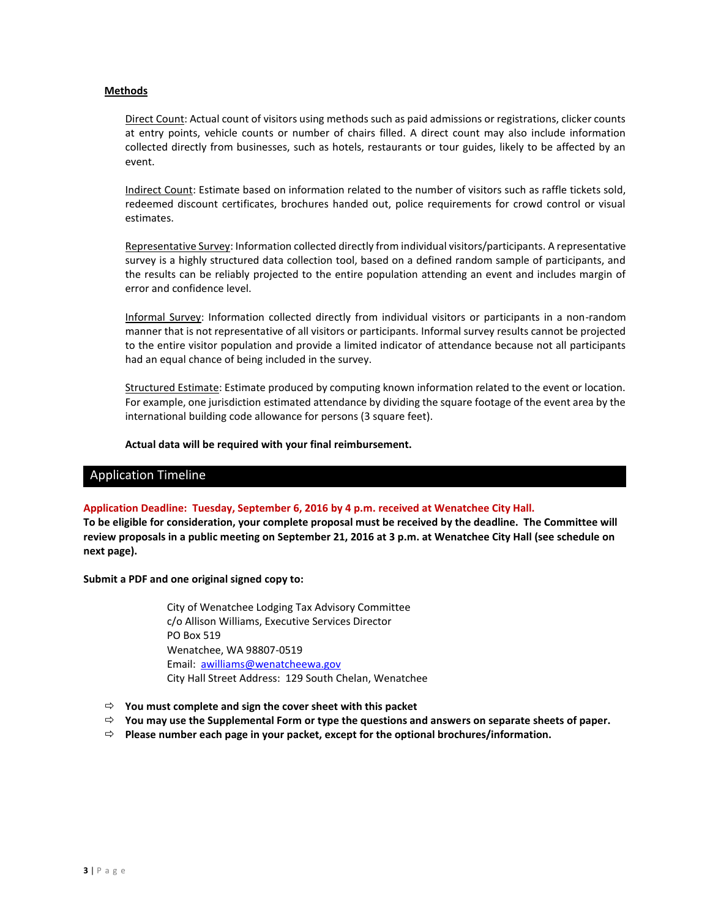#### **Methods**

Direct Count: Actual count of visitors using methods such as paid admissions or registrations, clicker counts at entry points, vehicle counts or number of chairs filled. A direct count may also include information collected directly from businesses, such as hotels, restaurants or tour guides, likely to be affected by an event.

Indirect Count: Estimate based on information related to the number of visitors such as raffle tickets sold, redeemed discount certificates, brochures handed out, police requirements for crowd control or visual estimates.

Representative Survey: Information collected directly from individual visitors/participants. A representative survey is a highly structured data collection tool, based on a defined random sample of participants, and the results can be reliably projected to the entire population attending an event and includes margin of error and confidence level.

Informal Survey: Information collected directly from individual visitors or participants in a non-random manner that is not representative of all visitors or participants. Informal survey results cannot be projected to the entire visitor population and provide a limited indicator of attendance because not all participants had an equal chance of being included in the survey.

Structured Estimate: Estimate produced by computing known information related to the event or location. For example, one jurisdiction estimated attendance by dividing the square footage of the event area by the international building code allowance for persons (3 square feet).

**Actual data will be required with your final reimbursement.**

## Application Timeline

#### **Application Deadline: Tuesday, September 6, 2016 by 4 p.m. received at Wenatchee City Hall.**

**To be eligible for consideration, your complete proposal must be received by the deadline. The Committee will review proposals in a public meeting on September 21, 2016 at 3 p.m. at Wenatchee City Hall (see schedule on next page).**

**Submit a PDF and one original signed copy to:**

City of Wenatchee Lodging Tax Advisory Committee c/o Allison Williams, Executive Services Director PO Box 519 Wenatchee, WA 98807-0519 Email: awilliams@wenatcheewa.gov City Hall Street Address: 129 South Chelan, Wenatchee

- **You must complete and sign the cover sheet with this packet**
- **You may use the Supplemental Form or type the questions and answers on separate sheets of paper.**
- **Please number each page in your packet, except for the optional brochures/information.**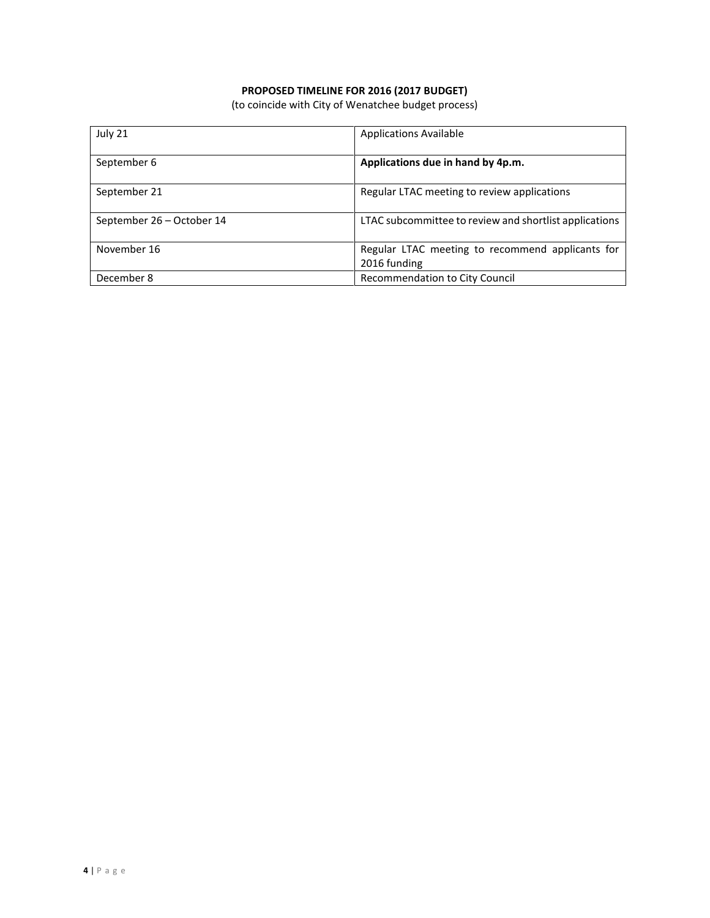# **PROPOSED TIMELINE FOR 2016 (2017 BUDGET)**

(to coincide with City of Wenatchee budget process)

| July 21                   | <b>Applications Available</b>                          |
|---------------------------|--------------------------------------------------------|
| September 6               | Applications due in hand by 4p.m.                      |
| September 21              | Regular LTAC meeting to review applications            |
| September 26 - October 14 | LTAC subcommittee to review and shortlist applications |
| November 16               | Regular LTAC meeting to recommend applicants for       |
|                           | 2016 funding                                           |
| December 8                | Recommendation to City Council                         |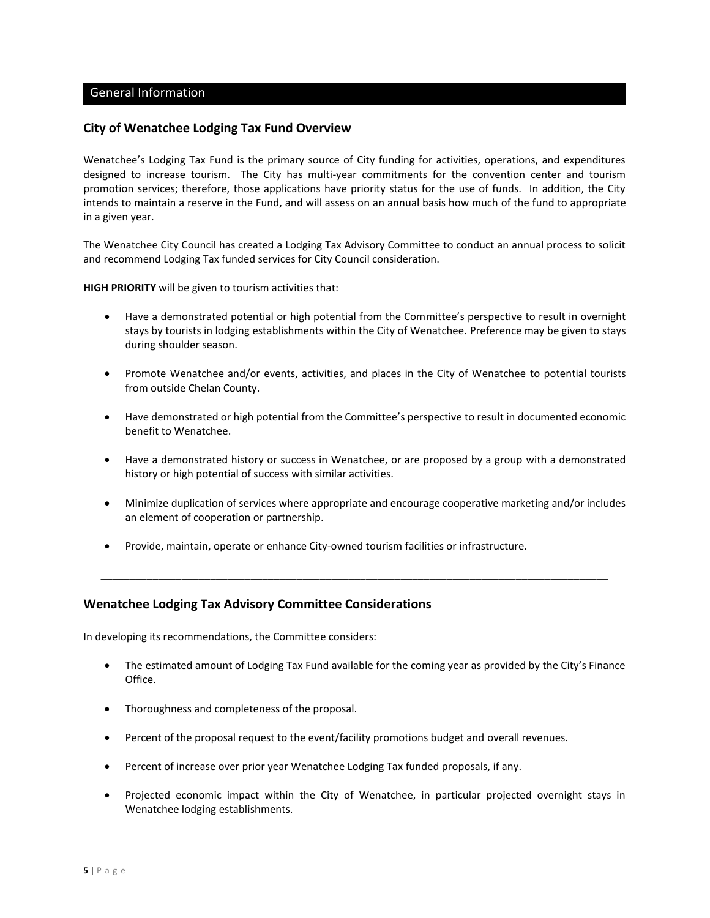## General Information

# **City of Wenatchee Lodging Tax Fund Overview**

Wenatchee's Lodging Tax Fund is the primary source of City funding for activities, operations, and expenditures designed to increase tourism. The City has multi-year commitments for the convention center and tourism promotion services; therefore, those applications have priority status for the use of funds. In addition, the City intends to maintain a reserve in the Fund, and will assess on an annual basis how much of the fund to appropriate in a given year.

The Wenatchee City Council has created a Lodging Tax Advisory Committee to conduct an annual process to solicit and recommend Lodging Tax funded services for City Council consideration.

**HIGH PRIORITY** will be given to tourism activities that:

- Have a demonstrated potential or high potential from the Committee's perspective to result in overnight stays by tourists in lodging establishments within the City of Wenatchee. Preference may be given to stays during shoulder season.
- Promote Wenatchee and/or events, activities, and places in the City of Wenatchee to potential tourists from outside Chelan County.
- Have demonstrated or high potential from the Committee's perspective to result in documented economic benefit to Wenatchee.
- Have a demonstrated history or success in Wenatchee, or are proposed by a group with a demonstrated history or high potential of success with similar activities.
- Minimize duplication of services where appropriate and encourage cooperative marketing and/or includes an element of cooperation or partnership.

\_\_\_\_\_\_\_\_\_\_\_\_\_\_\_\_\_\_\_\_\_\_\_\_\_\_\_\_\_\_\_\_\_\_\_\_\_\_\_\_\_\_\_\_\_\_\_\_\_\_\_\_\_\_\_\_\_\_\_\_\_\_\_\_\_\_\_\_\_\_\_\_\_\_\_\_\_\_\_\_\_\_\_\_\_\_\_\_

Provide, maintain, operate or enhance City-owned tourism facilities or infrastructure.

## **Wenatchee Lodging Tax Advisory Committee Considerations**

In developing its recommendations, the Committee considers:

- The estimated amount of Lodging Tax Fund available for the coming year as provided by the City's Finance Office.
- Thoroughness and completeness of the proposal.
- Percent of the proposal request to the event/facility promotions budget and overall revenues.
- Percent of increase over prior year Wenatchee Lodging Tax funded proposals, if any.
- Projected economic impact within the City of Wenatchee, in particular projected overnight stays in Wenatchee lodging establishments.